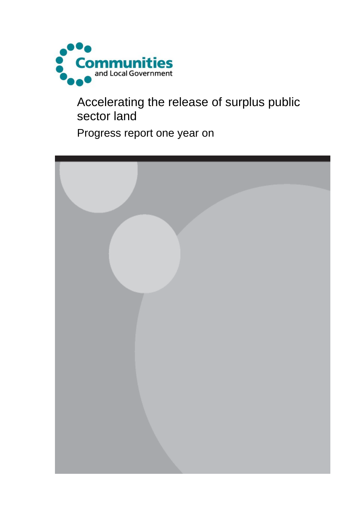

Accelerating the release of surplus public sector land

Progress report one year on

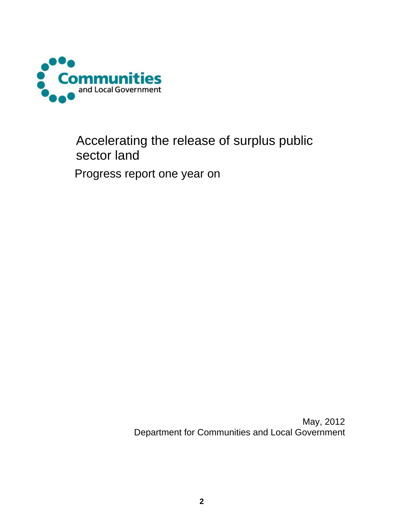

## Accelerating the release of surplus public sector land

Progress report one year on

May, 2012 Department for Communities and Local Government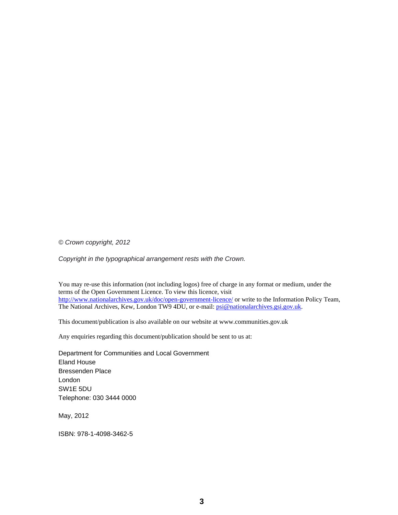*© Crown copyright, 2012* 

*Copyright in the typographical arrangement rests with the Crown.*

You may re-use this information (not including logos) free of charge in any format or medium, under the terms of the Open Government Licence. To view this licence, visit <http://www.nationalarchives.gov.uk/doc/open-government-licence/>or write to the Information Policy Team, The National Archives, Kew, London TW9 4DU, or e-mail: [psi@nationalarchives.gsi.gov.uk](mailto:psi@nationalarchives.gsi.gov.uk).

This document/publication is also available on our website at www.communities.gov.uk

Any enquiries regarding this document/publication should be sent to us at:

Department for Communities and Local Government Eland House Bressenden Place London SW1E 5DU Telephone: 030 3444 0000

May, 2012

ISBN: 978-1-4098-3462-5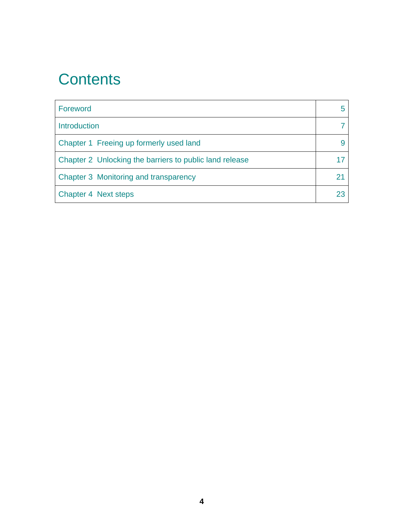# **Contents**

| Foreword                                                |  |
|---------------------------------------------------------|--|
| <b>Introduction</b>                                     |  |
| Chapter 1 Freeing up formerly used land                 |  |
| Chapter 2 Unlocking the barriers to public land release |  |
| Chapter 3 Monitoring and transparency                   |  |
| Chapter 4 Next steps                                    |  |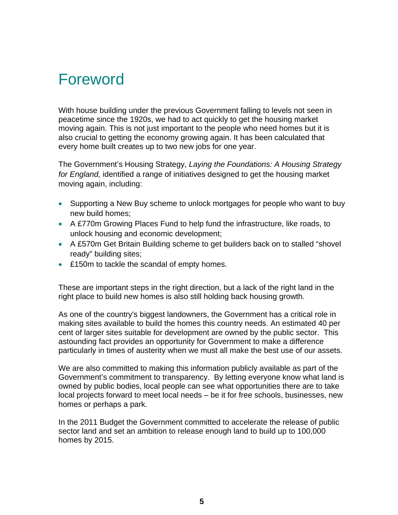# Foreword

With house building under the previous Government falling to levels not seen in peacetime since the 1920s, we had to act quickly to get the housing market moving again. This is not just important to the people who need homes but it is also crucial to getting the economy growing again. It has been calculated that every home built creates up to two new jobs for one year.

The Government's Housing Strategy, *Laying the Foundations: A Housing Strategy for England,* identified a range of initiatives designed to get the housing market moving again, including:

- Supporting a New Buy scheme to unlock mortgages for people who want to buy new build homes;
- A £770m Growing Places Fund to help fund the infrastructure, like roads, to unlock housing and economic development;
- A £570m Get Britain Building scheme to get builders back on to stalled "shovel ready" building sites;
- £150m to tackle the scandal of empty homes.

These are important steps in the right direction, but a lack of the right land in the right place to build new homes is also still holding back housing growth.

As one of the country's biggest landowners, the Government has a critical role in making sites available to build the homes this country needs. An estimated 40 per cent of larger sites suitable for development are owned by the public sector. This astounding fact provides an opportunity for Government to make a difference particularly in times of austerity when we must all make the best use of our assets.

We are also committed to making this information publicly available as part of the Government's commitment to transparency. By letting everyone know what land is owned by public bodies, local people can see what opportunities there are to take local projects forward to meet local needs – be it for free schools, businesses, new homes or perhaps a park.

In the 2011 Budget the Government committed to accelerate the release of public sector land and set an ambition to release enough land to build up to 100,000 homes by 2015.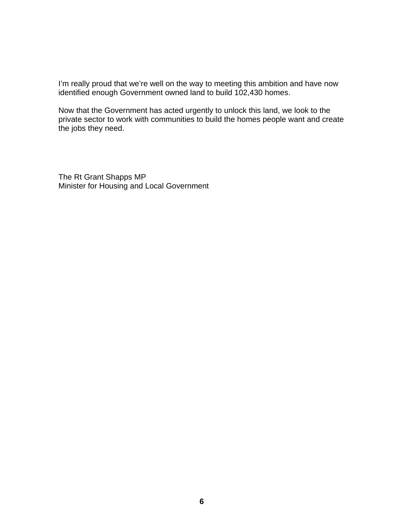I'm really proud that we're well on the way to meeting this ambition and have now identified enough Government owned land to build 102,430 homes.

Now that the Government has acted urgently to unlock this land, we look to the private sector to work with communities to build the homes people want and create the jobs they need.

The Rt Grant Shapps MP Minister for Housing and Local Government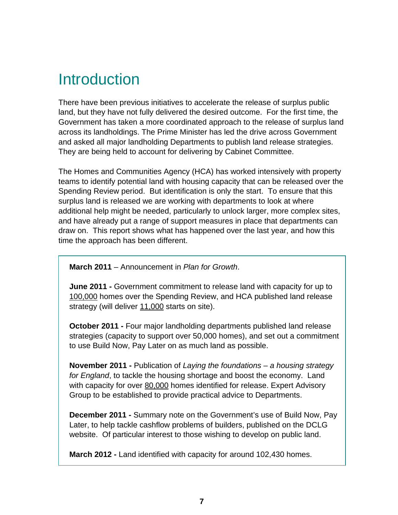# Introduction

There have been previous initiatives to accelerate the release of surplus public land, but they have not fully delivered the desired outcome. For the first time, the Government has taken a more coordinated approach to the release of surplus land across its landholdings. The Prime Minister has led the drive across Government and asked all major landholding Departments to publish land release strategies. They are being held to account for delivering by Cabinet Committee.

The Homes and Communities Agency (HCA) has worked intensively with property teams to identify potential land with housing capacity that can be released over the Spending Review period. But identification is only the start. To ensure that this surplus land is released we are working with departments to look at where additional help might be needed, particularly to unlock larger, more complex sites, and have already put a range of support measures in place that departments can draw on. This report shows what has happened over the last year, and how this time the approach has been different.

**March 2011** – Announcement in *Plan for Growth*.

**June 2011 -** Government commitment to release land with capacity for up to 100,000 homes over the Spending Review, and HCA published land release strategy (will deliver 11,000 starts on site).

**October 2011 -** Four major landholding departments published land release strategies (capacity to support over 50,000 homes), and set out a commitment to use Build Now, Pay Later on as much land as possible.

**November 2011 -** Publication of *Laying the foundations – a housing strategy for England*, to tackle the housing shortage and boost the economy. Land with capacity for over 80,000 homes identified for release. Expert Advisory Group to be established to provide practical advice to Departments.

**December 2011 -** Summary note on the Government's use of Build Now, Pay Later, to help tackle cashflow problems of builders, published on the DCLG website. Of particular interest to those wishing to develop on public land.

**March 2012 -** Land identified with capacity for around 102,430 homes.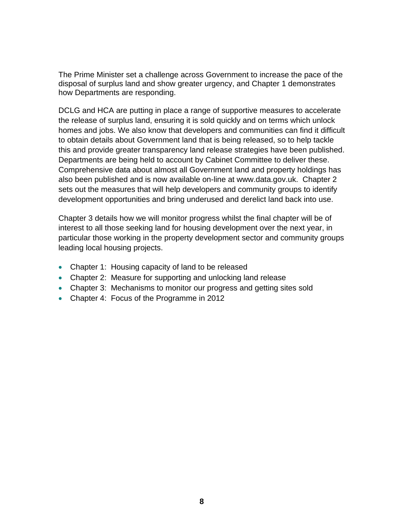The Prime Minister set a challenge across Government to increase the pace of the disposal of surplus land and show greater urgency, and Chapter 1 demonstrates how Departments are responding.

DCLG and HCA are putting in place a range of supportive measures to accelerate the release of surplus land, ensuring it is sold quickly and on terms which unlock homes and jobs. We also know that developers and communities can find it difficult to obtain details about Government land that is being released, so to help tackle this and provide greater transparency land release strategies have been published. Departments are being held to account by Cabinet Committee to deliver these. Comprehensive data about almost all Government land and property holdings has also been published and is now available on-line at www.data.gov.uk. Chapter 2 sets out the measures that will help developers and community groups to identify development opportunities and bring underused and derelict land back into use.

Chapter 3 details how we will monitor progress whilst the final chapter will be of interest to all those seeking land for housing development over the next year, in particular those working in the property development sector and community groups leading local housing projects.

- Chapter 1: Housing capacity of land to be released
- Chapter 2: Measure for supporting and unlocking land release
- Chapter 3: Mechanisms to monitor our progress and getting sites sold
- Chapter 4: Focus of the Programme in 2012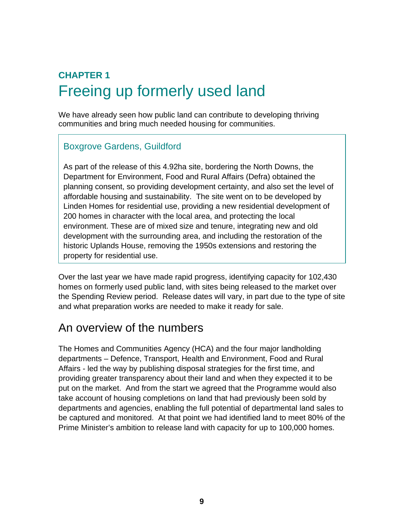## **CHAPTER 1** Freeing up formerly used land

We have already seen how public land can contribute to developing thriving communities and bring much needed housing for communities.

#### Boxgrove Gardens, Guildford

As part of the release of this 4.92ha site, bordering the North Downs, the Department for Environment, Food and Rural Affairs (Defra) obtained the planning consent, so providing development certainty, and also set the level of affordable housing and sustainability. The site went on to be developed by Linden Homes for residential use, providing a new residential development of 200 homes in character with the local area, and protecting the local environment. These are of mixed size and tenure, integrating new and old development with the surrounding area, and including the restoration of the historic Uplands House, removing the 1950s extensions and restoring the property for residential use.

Over the last year we have made rapid progress, identifying capacity for 102,430 homes on formerly used public land, with sites being released to the market over the Spending Review period. Release dates will vary, in part due to the type of site and what preparation works are needed to make it ready for sale.

### An overview of the numbers

The Homes and Communities Agency (HCA) and the four major landholding departments – Defence, Transport, Health and Environment, Food and Rural Affairs - led the way by publishing disposal strategies for the first time, and providing greater transparency about their land and when they expected it to be put on the market. And from the start we agreed that the Programme would also take account of housing completions on land that had previously been sold by departments and agencies, enabling the full potential of departmental land sales to be captured and monitored. At that point we had identified land to meet 80% of the Prime Minister's ambition to release land with capacity for up to 100,000 homes.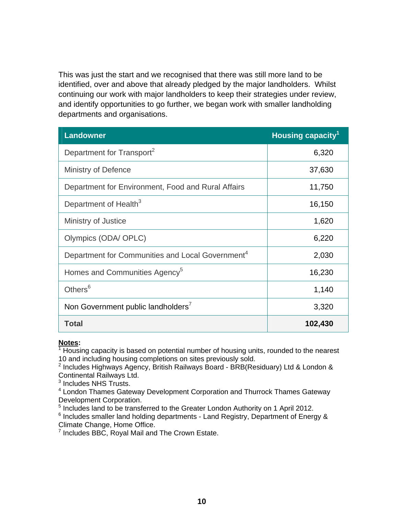This was just the start and we recognised that there was still more land to be identified, over and above that already pledged by the major landholders. Whilst continuing our work with major landholders to keep their strategies under review, and identify opportunities to go further, we began work with smaller landholding departments and organisations.

| <b>Landowner</b>                                             | Housing capacity <sup>1</sup> |
|--------------------------------------------------------------|-------------------------------|
| Department for Transport <sup>2</sup>                        | 6,320                         |
| <b>Ministry of Defence</b>                                   | 37,630                        |
| Department for Environment, Food and Rural Affairs           | 11,750                        |
| Department of Health <sup>3</sup>                            | 16,150                        |
| Ministry of Justice                                          | 1,620                         |
| Olympics (ODA/ OPLC)                                         | 6,220                         |
| Department for Communities and Local Government <sup>4</sup> | 2,030                         |
| Homes and Communities Agency <sup>5</sup>                    | 16,230                        |
| Others <sup>6</sup>                                          | 1,140                         |
| Non Government public landholders <sup>7</sup>               | 3,320                         |
| <b>Total</b>                                                 | 102,430                       |

#### **Notes:**

 $1$  Housing capacity is based on potential number of housing units, rounded to the nearest 10 and including housing completions on sites previously sold.

<sup>2</sup> Includes Highways Agency, British Railways Board - BRB(Residuary) Ltd & London &

Continental Railways Ltd.<br><sup>3</sup> Includes NHS Trusts.

<sup>4</sup> London Thames Gateway Development Corporation and Thurrock Thames Gateway Development Corporation.

<sup>5</sup> Includes land to be transferred to the Greater London Authority on 1 April 2012.

 $6$  Includes smaller land holding departments - Land Registry, Department of Energy & Climate Change, Home Office.

 $7$  Includes BBC, Royal Mail and The Crown Estate.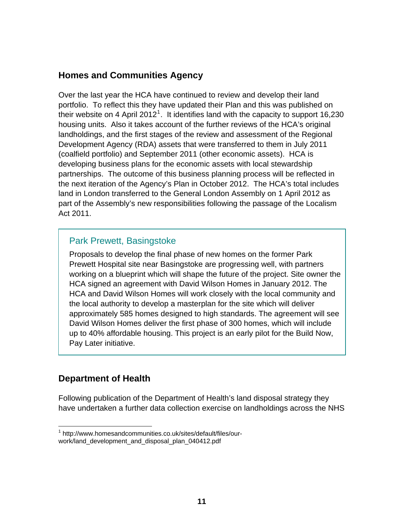#### <span id="page-10-0"></span>**Homes and Communities Agency**

Over the last year the HCA have continued to review and develop their land portfolio. To reflect this they have updated their Plan and this was published on their website on 4 April 20[1](#page-10-0)2<sup>1</sup>. It identifies land with the capacity to support 16,230 housing units. Also it takes account of the further reviews of the HCA's original landholdings, and the first stages of the review and assessment of the Regional Development Agency (RDA) assets that were transferred to them in July 2011 (coalfield portfolio) and September 2011 (other economic assets). HCA is developing business plans for the economic assets with local stewardship partnerships. The outcome of this business planning process will be reflected in the next iteration of the Agency's Plan in October 2012. The HCA's total includes land in London transferred to the General London Assembly on 1 April 2012 as part of the Assembly's new responsibilities following the passage of the Localism Act 2011.

#### Park Prewett, Basingstoke

Proposals to develop the final phase of new homes on the former Park Prewett Hospital site near Basingstoke are progressing well, with partners working on a blueprint which will shape the future of the project. Site owner the HCA signed an agreement with David Wilson Homes in January 2012. The HCA and David Wilson Homes will work closely with the local community and the local authority to develop a masterplan for the site which will deliver approximately 585 homes designed to high standards. The agreement will see David Wilson Homes deliver the first phase of 300 homes, which will include up to 40% affordable housing. This project is an early pilot for the Build Now, Pay Later initiative.

#### **Department of Health**

Following publication of the Department of Health's land disposal strategy they have undertaken a further data collection exercise on landholdings across the NHS

 $\overline{a}$ <sup>1</sup> http://www.homesandcommunities.co.uk/sites/default/files/ourwork/land\_development\_and\_disposal\_plan\_040412.pdf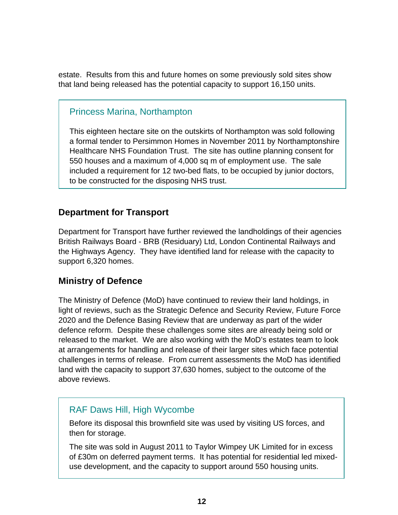estate. Results from this and future homes on some previously sold sites show that land being released has the potential capacity to support 16,150 units.

#### Princess Marina, Northampton

This eighteen hectare site on the outskirts of Northampton was sold following a formal tender to Persimmon Homes in November 2011 by Northamptonshire Healthcare NHS Foundation Trust. The site has outline planning consent for 550 houses and a maximum of 4,000 sq m of employment use. The sale included a requirement for 12 two-bed flats, to be occupied by junior doctors, to be constructed for the disposing NHS trust.

#### **Department for Transport**

Department for Transport have further reviewed the landholdings of their agencies British Railways Board - BRB (Residuary) Ltd, London Continental Railways and the Highways Agency. They have identified land for release with the capacity to support 6,320 homes.

#### **Ministry of Defence**

The Ministry of Defence (MoD) have continued to review their land holdings, in light of reviews, such as the Strategic Defence and Security Review, Future Force 2020 and the Defence Basing Review that are underway as part of the wider defence reform. Despite these challenges some sites are already being sold or released to the market. We are also working with the MoD's estates team to look at arrangements for handling and release of their larger sites which face potential challenges in terms of release. From current assessments the MoD has identified land with the capacity to support 37,630 homes, subject to the outcome of the above reviews.

#### RAF Daws Hill, High Wycombe

Before its disposal this brownfield site was used by visiting US forces, and then for storage.

The site was sold in August 2011 to Taylor Wimpey UK Limited for in excess of £30m on deferred payment terms. It has potential for residential led mixeduse development, and the capacity to support around 550 housing units.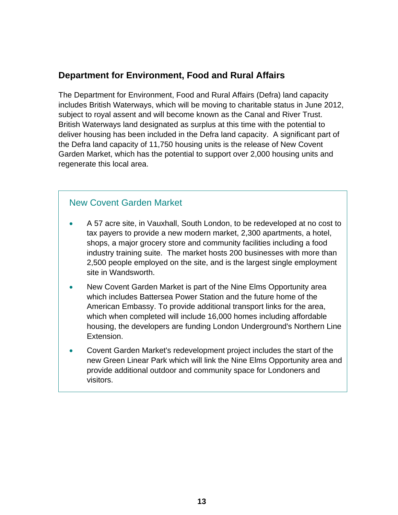#### **Department for Environment, Food and Rural Affairs**

The Department for Environment, Food and Rural Affairs (Defra) land capacity includes British Waterways, which will be moving to charitable status in June 2012, subject to royal assent and will become known as the Canal and River Trust. British Waterways land designated as surplus at this time with the potential to deliver housing has been included in the Defra land capacity. A significant part of the Defra land capacity of 11,750 housing units is the release of New Covent Garden Market, which has the potential to support over 2,000 housing units and regenerate this local area.

#### New Covent Garden Market

- A 57 acre site, in Vauxhall, South London, to be redeveloped at no cost to tax payers to provide a new modern market, 2,300 apartments, a hotel, shops, a major grocery store and community facilities including a food industry training suite. The market hosts 200 businesses with more than 2,500 people employed on the site, and is the largest single employment site in Wandsworth.
- New Covent Garden Market is part of the Nine Elms Opportunity area which includes Battersea Power Station and the future home of the American Embassy. To provide additional transport links for the area, which when completed will include 16,000 homes including affordable housing, the developers are funding London Underground's Northern Line Extension.
- Covent Garden Market's redevelopment project includes the start of the new Green Linear Park which will link the Nine Elms Opportunity area and provide additional outdoor and community space for Londoners and visitors.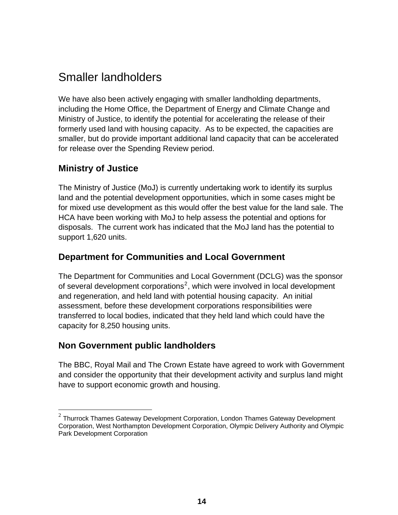## <span id="page-13-0"></span>Smaller landholders

We have also been actively engaging with smaller landholding departments, including the Home Office, the Department of Energy and Climate Change and Ministry of Justice, to identify the potential for accelerating the release of their formerly used land with housing capacity. As to be expected, the capacities are smaller, but do provide important additional land capacity that can be accelerated for release over the Spending Review period.

#### **Ministry of Justice**

 $\overline{a}$ 

The Ministry of Justice (MoJ) is currently undertaking work to identify its surplus land and the potential development opportunities, which in some cases might be for mixed use development as this would offer the best value for the land sale. The HCA have been working with MoJ to help assess the potential and options for disposals. The current work has indicated that the MoJ land has the potential to support 1,620 units.

#### **Department for Communities and Local Government**

The Department for Communities and Local Government (DCLG) was the sponsor of several development corporations<sup>[2](#page-13-0)</sup>, which were involved in local development and regeneration, and held land with potential housing capacity. An initial assessment, before these development corporations responsibilities were transferred to local bodies, indicated that they held land which could have the capacity for 8,250 housing units.

#### **Non Government public landholders**

The BBC, Royal Mail and The Crown Estate have agreed to work with Government and consider the opportunity that their development activity and surplus land might have to support economic growth and housing.

 $^2$  Thurrock Thames Gateway Development Corporation, London Thames Gateway Development Corporation, West Northampton Development Corporation, Olympic Delivery Authority and Olympic Park Development Corporation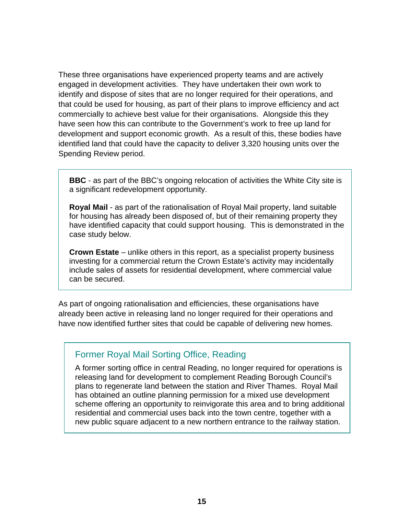These three organisations have experienced property teams and are actively engaged in development activities. They have undertaken their own work to identify and dispose of sites that are no longer required for their operations, and that could be used for housing, as part of their plans to improve efficiency and act commercially to achieve best value for their organisations. Alongside this they have seen how this can contribute to the Government's work to free up land for development and support economic growth. As a result of this, these bodies have identified land that could have the capacity to deliver 3,320 housing units over the Spending Review period.

**BBC** - as part of the BBC's ongoing relocation of activities the White City site is a significant redevelopment opportunity.

**Royal Mail** - as part of the rationalisation of Royal Mail property, land suitable for housing has already been disposed of, but of their remaining property they have identified capacity that could support housing. This is demonstrated in the case study below.

**Crown Estate** – unlike others in this report, as a specialist property business investing for a commercial return the Crown Estate's activity may incidentally include sales of assets for residential development, where commercial value can be secured.

As part of ongoing rationalisation and efficiencies, these organisations have already been active in releasing land no longer required for their operations and have now identified further sites that could be capable of delivering new homes.

#### Former Royal Mail Sorting Office, Reading

A former sorting office in central Reading, no longer required for operations is releasing land for development to complement Reading Borough Council's plans to regenerate land between the station and River Thames. Royal Mail has obtained an outline planning permission for a mixed use development scheme offering an opportunity to reinvigorate this area and to bring additional residential and commercial uses back into the town centre, together with a new public square adjacent to a new northern entrance to the railway station.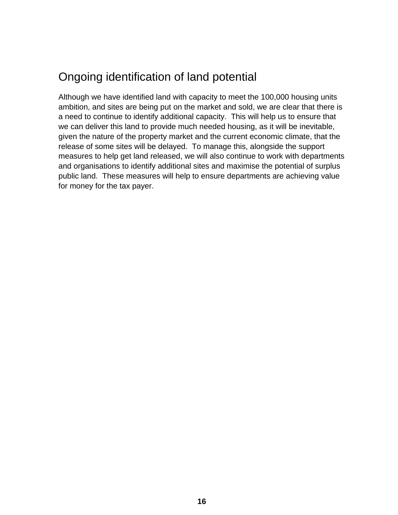## Ongoing identification of land potential

Although we have identified land with capacity to meet the 100,000 housing units ambition, and sites are being put on the market and sold, we are clear that there is a need to continue to identify additional capacity. This will help us to ensure that we can deliver this land to provide much needed housing, as it will be inevitable, given the nature of the property market and the current economic climate, that the release of some sites will be delayed. To manage this, alongside the support measures to help get land released, we will also continue to work with departments and organisations to identify additional sites and maximise the potential of surplus public land. These measures will help to ensure departments are achieving value for money for the tax payer.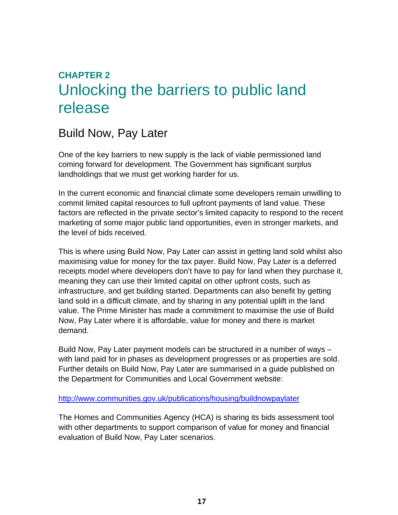## **CHAPTER 2** Unlocking the barriers to public land release

## Build Now, Pay Later

One of the key barriers to new supply is the lack of viable permissioned land coming forward for development. The Government has significant surplus landholdings that we must get working harder for us.

In the current economic and financial climate some developers remain unwilling to commit limited capital resources to full upfront payments of land value. These factors are reflected in the private sector's limited capacity to respond to the recent marketing of some major public land opportunities, even in stronger markets, and the level of bids received.

This is where using Build Now, Pay Later can assist in getting land sold whilst also maximising value for money for the tax payer. Build Now, Pay Later is a deferred receipts model where developers don't have to pay for land when they purchase it, meaning they can use their limited capital on other upfront costs, such as infrastructure, and get building started. Departments can also benefit by getting land sold in a difficult climate, and by sharing in any potential uplift in the land value. The Prime Minister has made a commitment to maximise the use of Build Now, Pay Later where it is affordable, value for money and there is market demand.

Build Now, Pay Later payment models can be structured in a number of ways – with land paid for in phases as development progresses or as properties are sold. Further details on Build Now, Pay Later are summarised in a guide published on the Department for Communities and Local Government website:

<http://www.communities.gov.uk/publications/housing/buildnowpaylater>

The Homes and Communities Agency (HCA) is sharing its bids assessment tool with other departments to support comparison of value for money and financial evaluation of Build Now, Pay Later scenarios.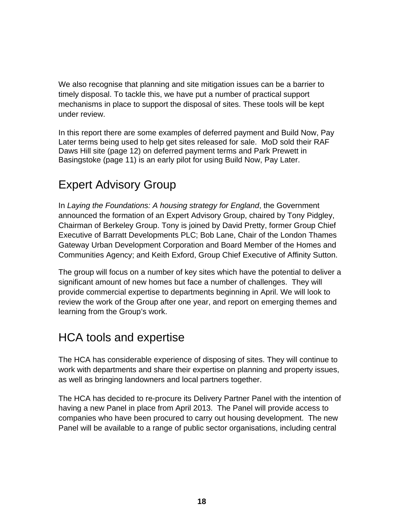We also recognise that planning and site mitigation issues can be a barrier to timely disposal. To tackle this, we have put a number of practical support mechanisms in place to support the disposal of sites. These tools will be kept under review.

In this report there are some examples of deferred payment and Build Now, Pay Later terms being used to help get sites released for sale. MoD sold their RAF Daws Hill site (page 12) on deferred payment terms and Park Prewett in Basingstoke (page 11) is an early pilot for using Build Now, Pay Later.

## Expert Advisory Group

In *Laying the Foundations: A housing strategy for England*, the Government announced the formation of an Expert Advisory Group, chaired by Tony Pidgley, Chairman of Berkeley Group. Tony is joined by David Pretty, former Group Chief Executive of Barratt Developments PLC; Bob Lane, Chair of the London Thames Gateway Urban Development Corporation and Board Member of the Homes and Communities Agency; and Keith Exford, Group Chief Executive of Affinity Sutton.

The group will focus on a number of key sites which have the potential to deliver a significant amount of new homes but face a number of challenges. They will provide commercial expertise to departments beginning in April. We will look to review the work of the Group after one year, and report on emerging themes and learning from the Group's work.

### HCA tools and expertise

The HCA has considerable experience of disposing of sites. They will continue to work with departments and share their expertise on planning and property issues, as well as bringing landowners and local partners together.

The HCA has decided to re-procure its Delivery Partner Panel with the intention of having a new Panel in place from April 2013. The Panel will provide access to companies who have been procured to carry out housing development. The new Panel will be available to a range of public sector organisations, including central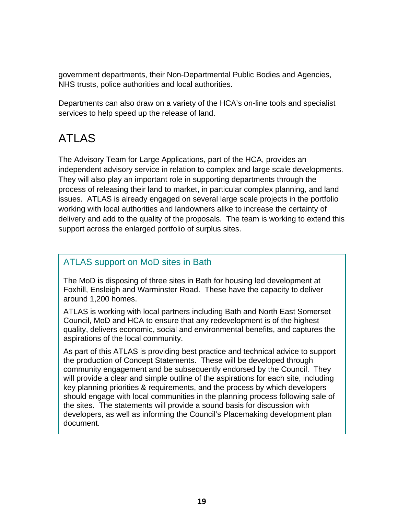government departments, their Non-Departmental Public Bodies and Agencies, NHS trusts, police authorities and local authorities.

Departments can also draw on a variety of the HCA's on-line tools and specialist services to help speed up the release of land.

## ATLAS

The Advisory Team for Large Applications, part of the HCA, provides an independent advisory service in relation to complex and large scale developments. They will also play an important role in supporting departments through the process of releasing their land to market, in particular complex planning, and land issues. ATLAS is already engaged on several large scale projects in the portfolio working with local authorities and landowners alike to increase the certainty of delivery and add to the quality of the proposals. The team is working to extend this support across the enlarged portfolio of surplus sites.

#### ATLAS support on MoD sites in Bath

The MoD is disposing of three sites in Bath for housing led development at Foxhill, Ensleigh and Warminster Road. These have the capacity to deliver around 1,200 homes.

ATLAS is working with local partners including Bath and North East Somerset Council, MoD and HCA to ensure that any redevelopment is of the highest quality, delivers economic, social and environmental benefits, and captures the aspirations of the local community.

As part of this ATLAS is providing best practice and technical advice to support the production of Concept Statements. These will be developed through community engagement and be subsequently endorsed by the Council. They will provide a clear and simple outline of the aspirations for each site, including key planning priorities & requirements, and the process by which developers should engage with local communities in the planning process following sale of the sites. The statements will provide a sound basis for discussion with developers, as well as informing the Council's Placemaking development plan document.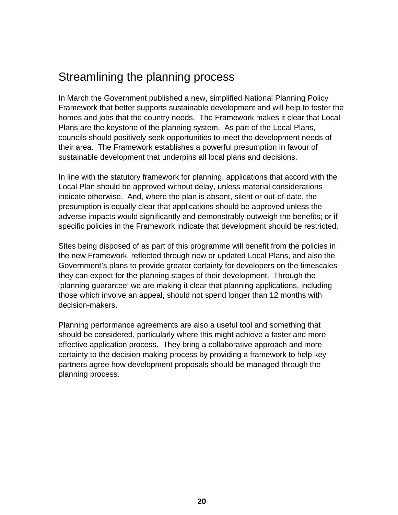## Streamlining the planning process

In March the Government published a new, simplified National Planning Policy Framework that better supports sustainable development and will help to foster the homes and jobs that the country needs. The Framework makes it clear that Local Plans are the keystone of the planning system. As part of the Local Plans, councils should positively seek opportunities to meet the development needs of their area. The Framework establishes a powerful presumption in favour of sustainable development that underpins all local plans and decisions.

In line with the statutory framework for planning, applications that accord with the Local Plan should be approved without delay, unless material considerations indicate otherwise. And, where the plan is absent, silent or out-of-date, the presumption is equally clear that applications should be approved unless the adverse impacts would significantly and demonstrably outweigh the benefits; or if specific policies in the Framework indicate that development should be restricted.

Sites being disposed of as part of this programme will benefit from the policies in the new Framework, reflected through new or updated Local Plans, and also the Government's plans to provide greater certainty for developers on the timescales they can expect for the planning stages of their development. Through the 'planning guarantee' we are making it clear that planning applications, including those which involve an appeal, should not spend longer than 12 months with decision-makers.

Planning performance agreements are also a useful tool and something that should be considered, particularly where this might achieve a faster and more effective application process. They bring a collaborative approach and more certainty to the decision making process by providing a framework to help key partners agree how development proposals should be managed through the planning process.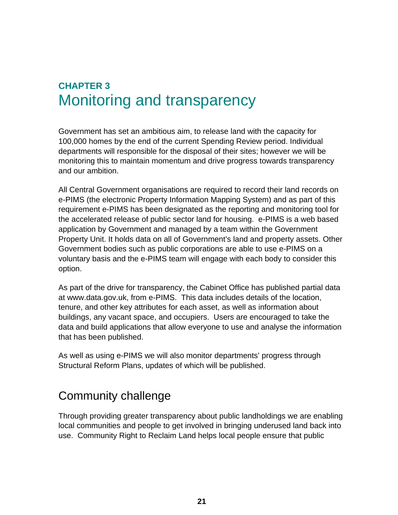## **CHAPTER 3** Monitoring and transparency

Government has set an ambitious aim, to release land with the capacity for 100,000 homes by the end of the current Spending Review period. Individual departments will responsible for the disposal of their sites; however we will be monitoring this to maintain momentum and drive progress towards transparency and our ambition.

All Central Government organisations are required to record their land records on e-PIMS (the electronic Property Information Mapping System) and as part of this requirement e-PIMS has been designated as the reporting and monitoring tool for the accelerated release of public sector land for housing. e-PIMS is a web based application by Government and managed by a team within the Government Property Unit. It holds data on all of Government's land and property assets. Other Government bodies such as public corporations are able to use e-PIMS on a voluntary basis and the e-PIMS team will engage with each body to consider this option.

As part of the drive for transparency, the Cabinet Office has published partial data at www.data.gov.uk, from e-PIMS. This data includes details of the location, tenure, and other key attributes for each asset, as well as information about buildings, any vacant space, and occupiers. Users are encouraged to take the data and build applications that allow everyone to use and analyse the information that has been published.

As well as using e-PIMS we will also monitor departments' progress through Structural Reform Plans, updates of which will be published.

### Community challenge

Through providing greater transparency about public landholdings we are enabling local communities and people to get involved in bringing underused land back into use. Community Right to Reclaim Land helps local people ensure that public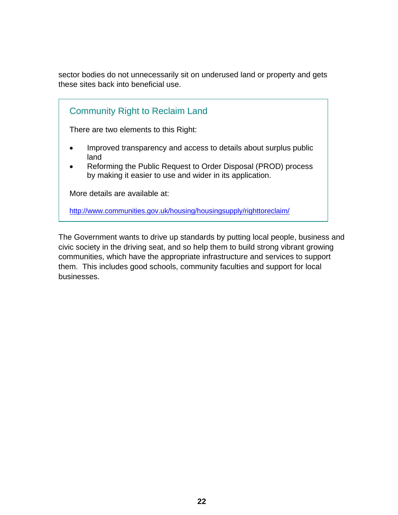sector bodies do not unnecessarily sit on underused land or property and gets these sites back into beneficial use.

| <b>Community Right to Reclaim Land</b>                                                                                                                                                                                          |
|---------------------------------------------------------------------------------------------------------------------------------------------------------------------------------------------------------------------------------|
| There are two elements to this Right:                                                                                                                                                                                           |
| Improved transparency and access to details about surplus public<br>$\bullet$<br>land<br>Reforming the Public Request to Order Disposal (PROD) process<br>$\bullet$<br>by making it easier to use and wider in its application. |
| More details are available at:                                                                                                                                                                                                  |
| http://www.communities.gov.uk/housing/housingsupply/righttoreclaim/                                                                                                                                                             |

The Government wants to drive up standards by putting local people, business and civic society in the driving seat, and so help them to build strong vibrant growing communities, which have the appropriate infrastructure and services to support them. This includes good schools, community faculties and support for local businesses.